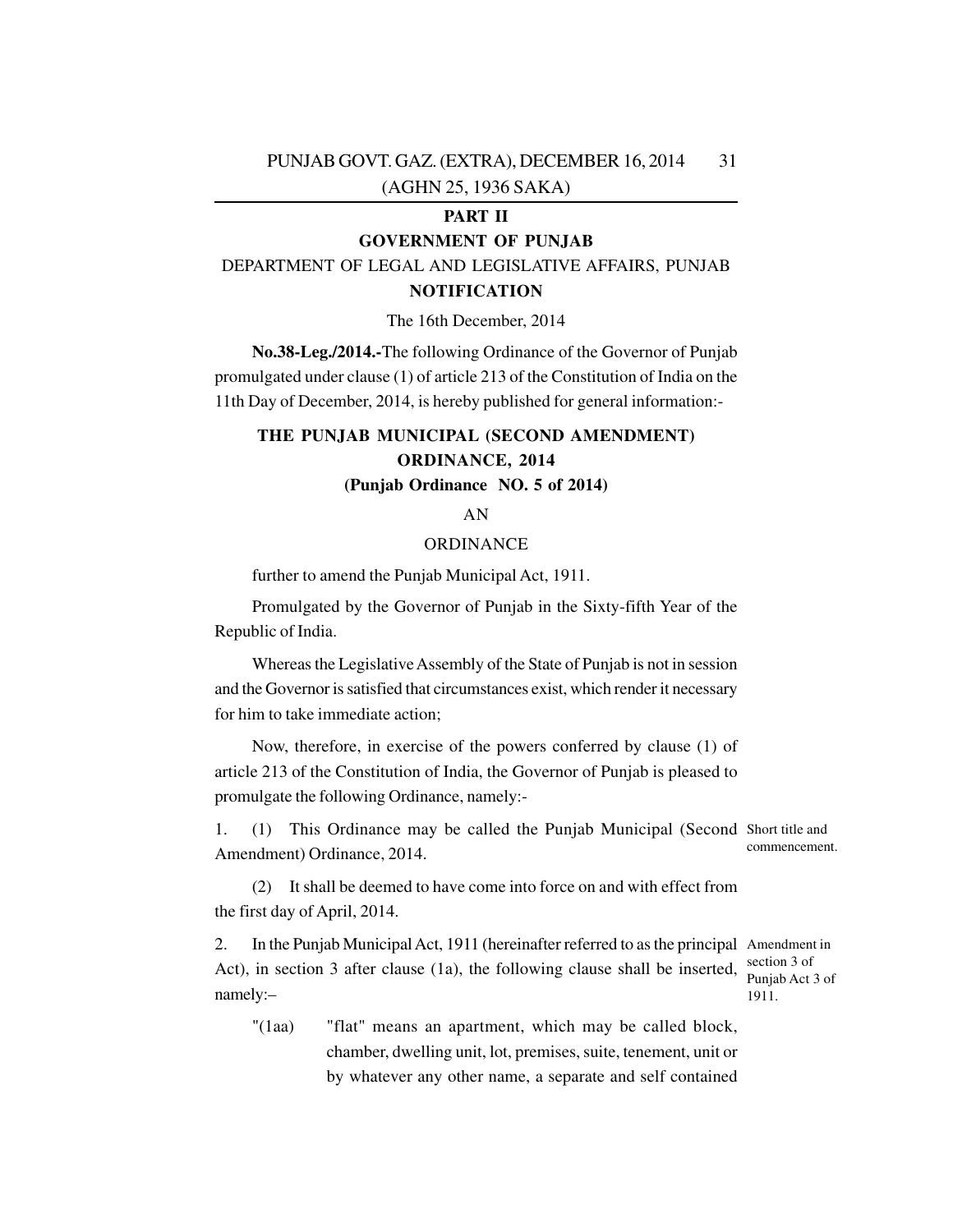## **PART II**

## **GOVERNMENT OF PUNJAB**

DEPARTMENT OF LEGAL AND LEGISLATIVE AFFAIRS, PUNJAB **NOTIFICATION**

The 16th December, 2014

**No.38-Leg./2014.-**The following Ordinance of the Governor of Punjab promulgated under clause (1) of article 213 of the Constitution of India on the 11th Day of December, 2014, is hereby published for general information:-

## **THE PUNJAB MUNICIPAL (SECOND AMENDMENT) ORDINANCE, 2014 (Punjab Ordinance NO. 5 of 2014)**

#### AN

#### ORDINANCE

further to amend the Punjab Municipal Act, 1911.

Promulgated by the Governor of Punjab in the Sixty-fifth Year of the Republic of India.

Whereas the Legislative Assembly of the State of Punjab is not in session and the Governor is satisfied that circumstances exist, which render it necessary for him to take immediate action;

Now, therefore, in exercise of the powers conferred by clause (1) of article 213 of the Constitution of India, the Governor of Punjab is pleased to promulgate the following Ordinance, namely:-

1. (1) This Ordinance may be called the Punjab Municipal (Second Short title and Amendment) Ordinance, 2014. commencement.

(2) It shall be deemed to have come into force on and with effect from the first day of April, 2014.

2. In the Punjab Municipal Act, 1911 (hereinafter referred to as the principal Amendment in Act), in section 3 after clause (1a), the following clause shall be inserted, namely:– section 3 of Punjab Act 3 of 1911.

"(1aa) "flat" means an apartment, which may be called block, chamber, dwelling unit, lot, premises, suite, tenement, unit or by whatever any other name, a separate and self contained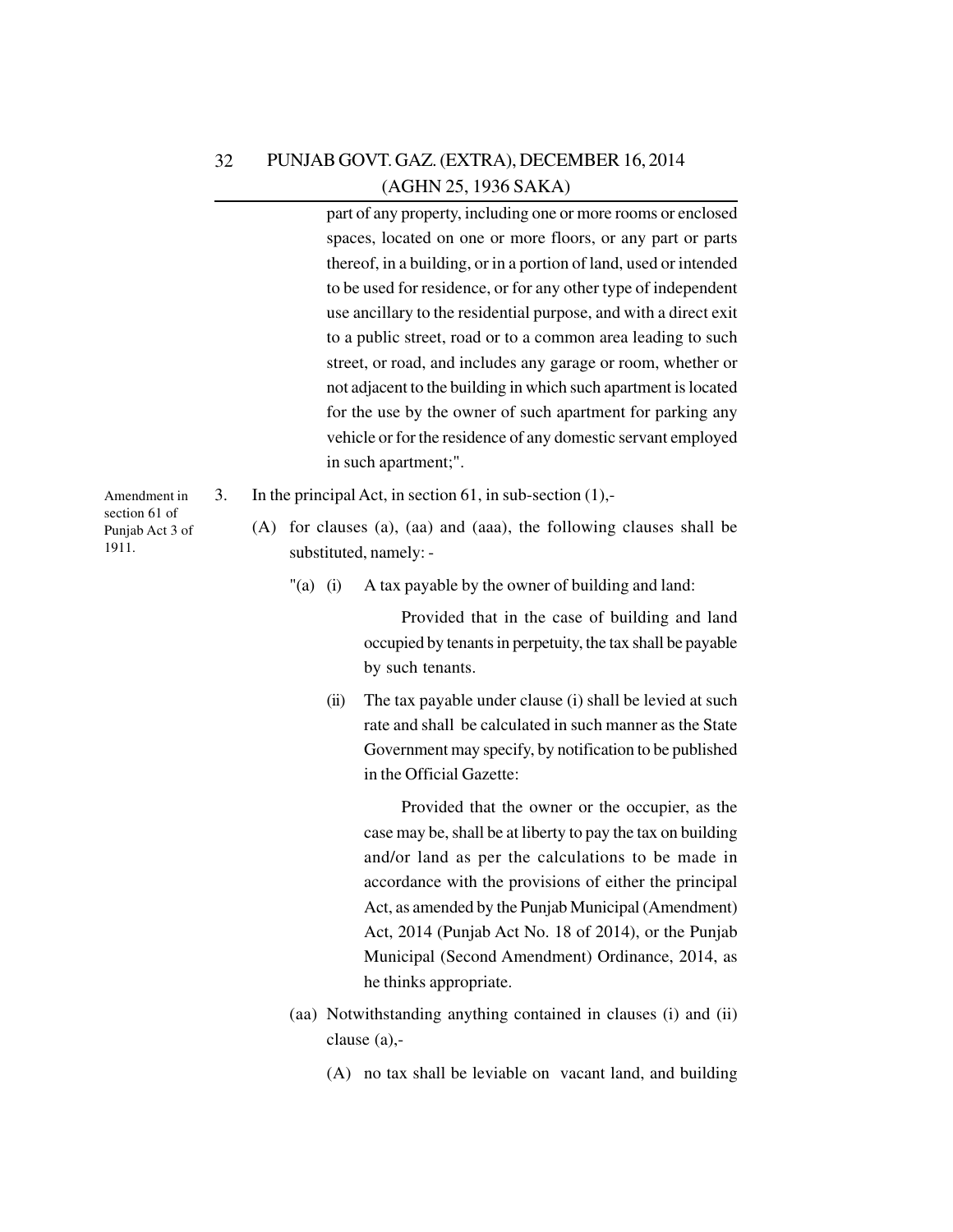| 32 | PUNJAB GOVT. GAZ. (EXTRA), DECEMBER 16, 2014 |
|----|----------------------------------------------|
|    | (AGHN 25, 1936 SAKA)                         |

part of any property, including one or more rooms or enclosed spaces, located on one or more floors, or any part or parts thereof, in a building, or in a portion of land, used or intended to be used for residence, or for any other type of independent use ancillary to the residential purpose, and with a direct exit to a public street, road or to a common area leading to such street, or road, and includes any garage or room, whether or not adjacent to the building in which such apartment is located for the use by the owner of such apartment for parking any vehicle or for the residence of any domestic servant employed in such apartment;".

- 3. In the principal Act, in section 61, in sub-section (1),-
	- (A) for clauses (a), (aa) and (aaa), the following clauses shall be substituted, namely: -
		- "(a) (i) A tax payable by the owner of building and land:

Provided that in the case of building and land occupied by tenants in perpetuity, the tax shall be payable by such tenants.

(ii) The tax payable under clause (i) shall be levied at such rate and shall be calculated in such manner as the State Government may specify, by notification to be published in the Official Gazette:

Provided that the owner or the occupier, as the case may be, shall be at liberty to pay the tax on building and/or land as per the calculations to be made in accordance with the provisions of either the principal Act, as amended by the Punjab Municipal (Amendment) Act, 2014 (Punjab Act No. 18 of 2014), or the Punjab Municipal (Second Amendment) Ordinance, 2014, as he thinks appropriate.

- (aa) Notwithstanding anything contained in clauses (i) and (ii) clause (a),-
	- (A) no tax shall be leviable on vacant land, and building

Amendment in section 61 of Punjab Act 3 of 1911.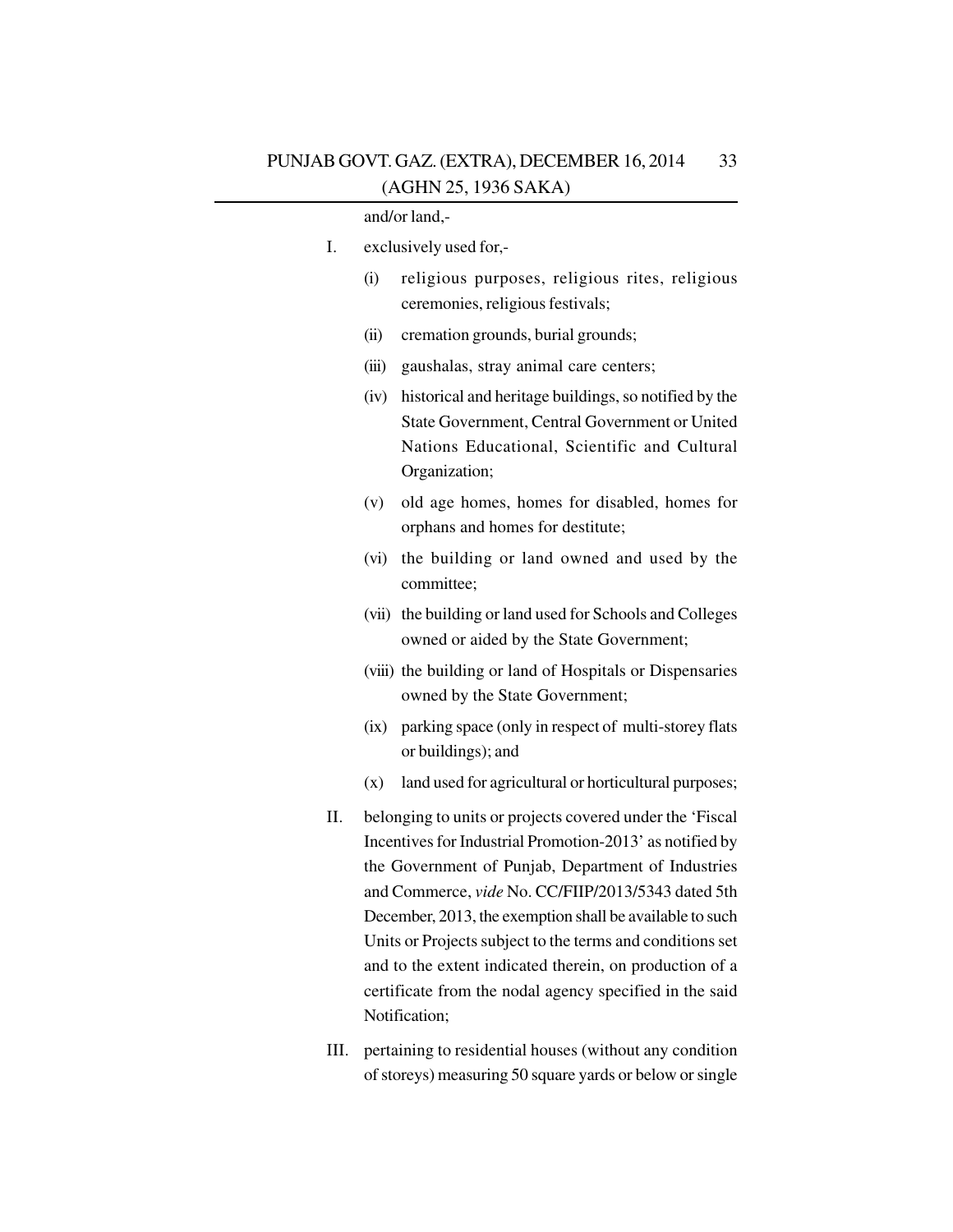|    | and/or land,-                                                                                                                                                                                                                                                                                                                                                                                                                                                                                    |
|----|--------------------------------------------------------------------------------------------------------------------------------------------------------------------------------------------------------------------------------------------------------------------------------------------------------------------------------------------------------------------------------------------------------------------------------------------------------------------------------------------------|
| Ι. | exclusively used for,-                                                                                                                                                                                                                                                                                                                                                                                                                                                                           |
|    | religious purposes, religious rites, religious<br>(i)<br>ceremonies, religious festivals;                                                                                                                                                                                                                                                                                                                                                                                                        |
|    | cremation grounds, burial grounds;<br>(ii)                                                                                                                                                                                                                                                                                                                                                                                                                                                       |
|    | gaushalas, stray animal care centers;<br>(iii)                                                                                                                                                                                                                                                                                                                                                                                                                                                   |
|    | historical and heritage buildings, so notified by the<br>(iv)<br>State Government, Central Government or United<br>Nations Educational, Scientific and Cultural<br>Organization;                                                                                                                                                                                                                                                                                                                 |
|    | old age homes, homes for disabled, homes for<br>(v)<br>orphans and homes for destitute;                                                                                                                                                                                                                                                                                                                                                                                                          |
|    | the building or land owned and used by the<br>(vi)<br>committee;                                                                                                                                                                                                                                                                                                                                                                                                                                 |
|    | (vii) the building or land used for Schools and Colleges<br>owned or aided by the State Government;                                                                                                                                                                                                                                                                                                                                                                                              |
|    | (viii) the building or land of Hospitals or Dispensaries<br>owned by the State Government;                                                                                                                                                                                                                                                                                                                                                                                                       |
|    | parking space (only in respect of multi-storey flats<br>(ix)<br>or buildings); and                                                                                                                                                                                                                                                                                                                                                                                                               |
|    | land used for agricultural or horticultural purposes;<br>(x)                                                                                                                                                                                                                                                                                                                                                                                                                                     |
| Π. | belonging to units or projects covered under the 'Fiscal<br>Incentives for Industrial Promotion-2013' as notified by<br>the Government of Punjab, Department of Industries<br>and Commerce, vide No. CC/FIIP/2013/5343 dated 5th<br>December, 2013, the exemption shall be available to such<br>Units or Projects subject to the terms and conditions set<br>and to the extent indicated therein, on production of a<br>certificate from the nodal agency specified in the said<br>Notification; |
|    |                                                                                                                                                                                                                                                                                                                                                                                                                                                                                                  |

III. pertaining to residential houses (without any condition of storeys) measuring 50 square yards or below or single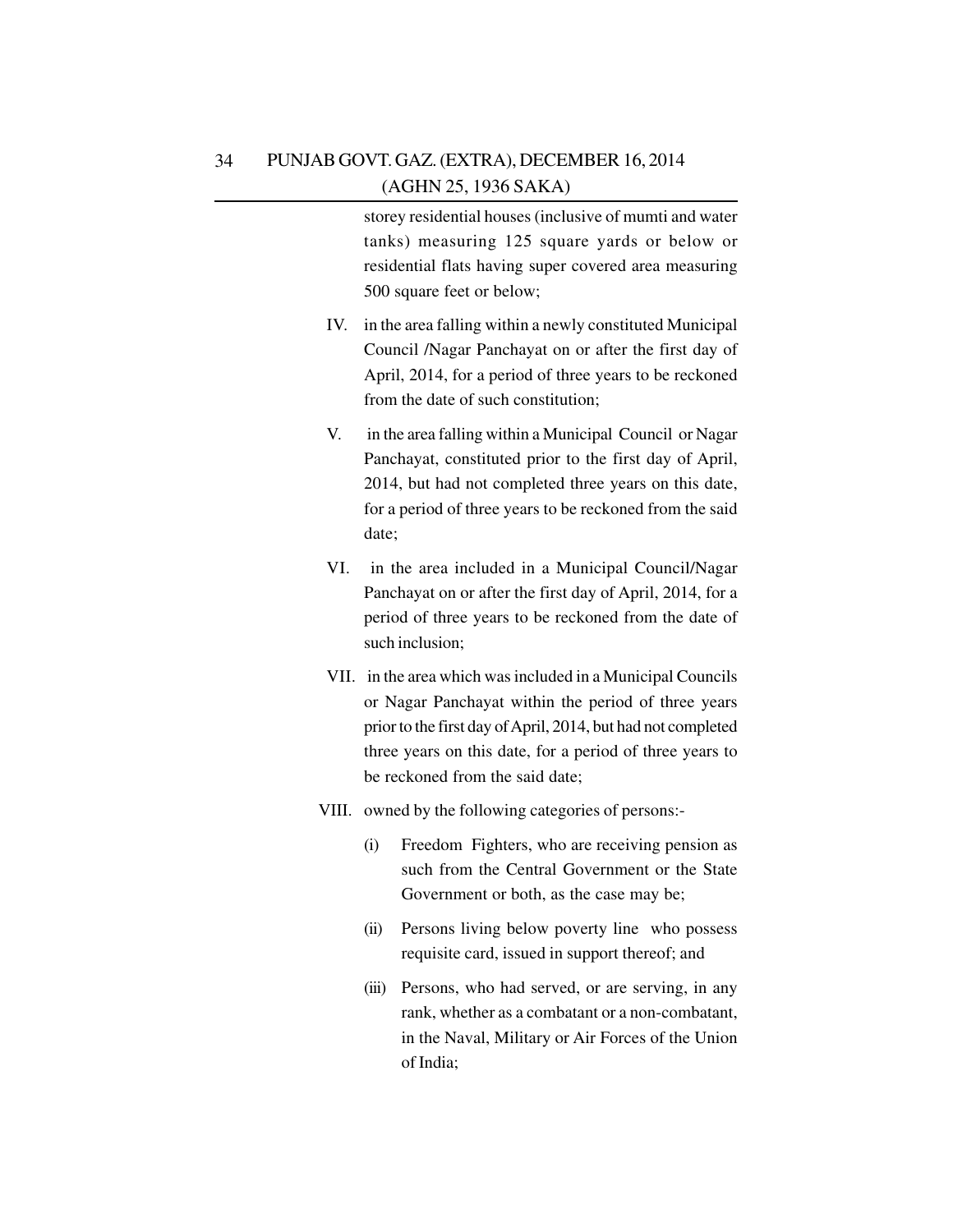storey residential houses (inclusive of mumti and water tanks) measuring 125 square yards or below or residential flats having super covered area measuring 500 square feet or below;

- IV. in the area falling within a newly constituted Municipal Council /Nagar Panchayat on or after the first day of April, 2014, for a period of three years to be reckoned from the date of such constitution;
- V. in the area falling within a Municipal Council or Nagar Panchayat, constituted prior to the first day of April, 2014, but had not completed three years on this date, for a period of three years to be reckoned from the said date;
- VI. in the area included in a Municipal Council/Nagar Panchayat on or after the first day of April, 2014, for a period of three years to be reckoned from the date of such inclusion;
- VII. in the area which was included in a Municipal Councils or Nagar Panchayat within the period of three years prior to the first day of April, 2014, but had not completed three years on this date, for a period of three years to be reckoned from the said date;
- VIII. owned by the following categories of persons:-
	- (i) Freedom Fighters, who are receiving pension as such from the Central Government or the State Government or both, as the case may be;
	- (ii) Persons living below poverty line who possess requisite card, issued in support thereof; and
	- (iii) Persons, who had served, or are serving, in any rank, whether as a combatant or a non-combatant, in the Naval, Military or Air Forces of the Union of India;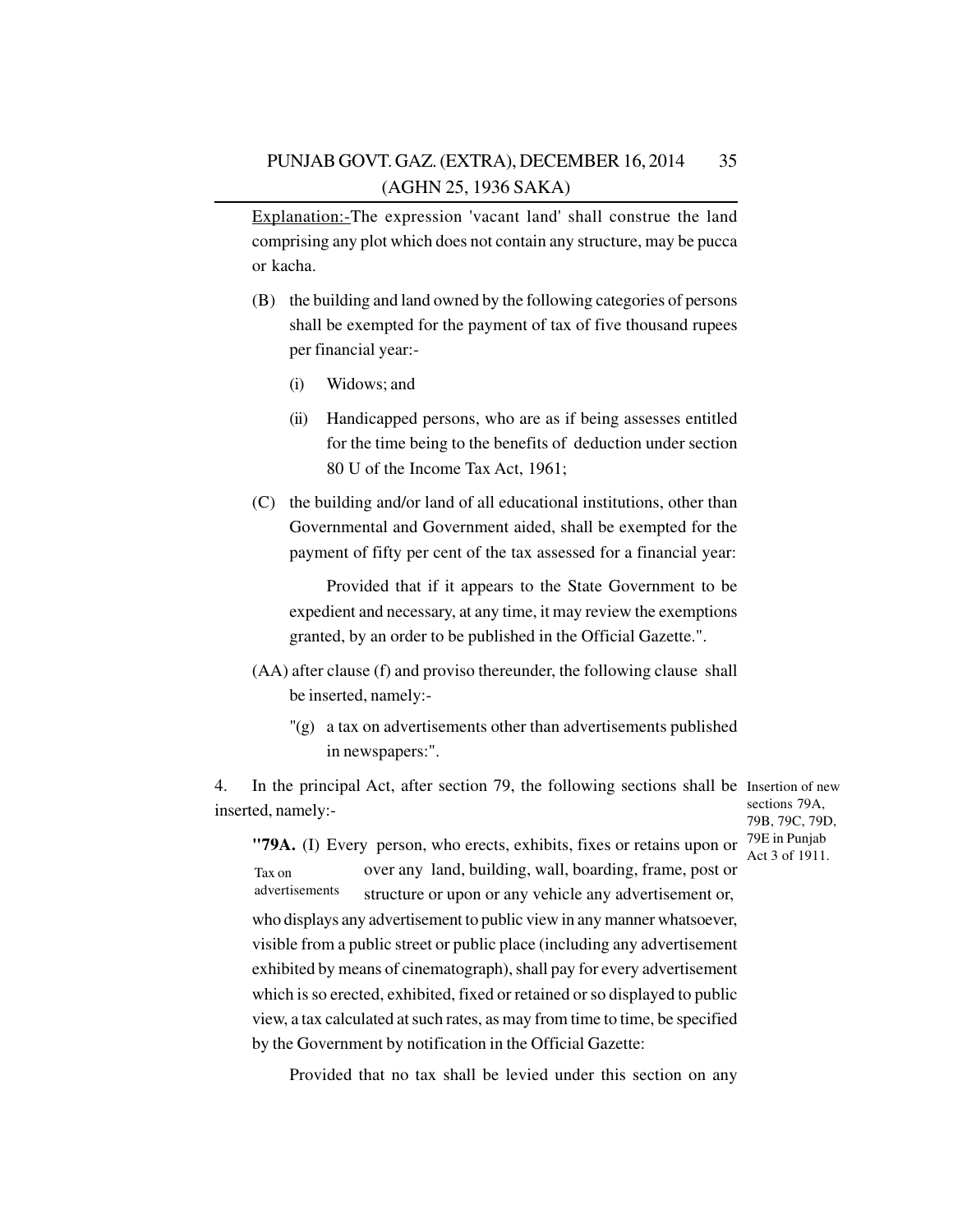Explanation:-The expression 'vacant land' shall construe the land comprising any plot which does not contain any structure, may be pucca or kacha.

- (B) the building and land owned by the following categories of persons shall be exempted for the payment of tax of five thousand rupees per financial year:-
	- (i) Widows; and
	- (ii) Handicapped persons, who are as if being assesses entitled for the time being to the benefits of deduction under section 80 U of the Income Tax Act, 1961;
- (C) the building and/or land of all educational institutions, other than Governmental and Government aided, shall be exempted for the payment of fifty per cent of the tax assessed for a financial year:

Provided that if it appears to the State Government to be expedient and necessary, at any time, it may review the exemptions granted, by an order to be published in the Official Gazette.".

- (AA) after clause (f) and proviso thereunder, the following clause shall be inserted, namely:-
	- "(g) a tax on advertisements other than advertisements published in newspapers:".

4. In the principal Act, after section 79, the following sections shall be Insertion of new inserted, namely:-

sections 79A, 79B, 79C, 79D, Act 3 of 1911.

**"79A.** (I) Every person, who erects, exhibits, fixes or retains upon or  $\frac{79E}{\Lambda}$  in Punjab over any land, building, wall, boarding, frame, post or structure or upon or any vehicle any advertisement or, who displays any advertisement to public view in any manner whatsoever, visible from a public street or public place (including any advertisement exhibited by means of cinematograph), shall pay for every advertisement which is so erected, exhibited, fixed or retained or so displayed to public view, a tax calculated at such rates, as may from time to time, be specified by the Government by notification in the Official Gazette: Tax on advertisements

Provided that no tax shall be levied under this section on any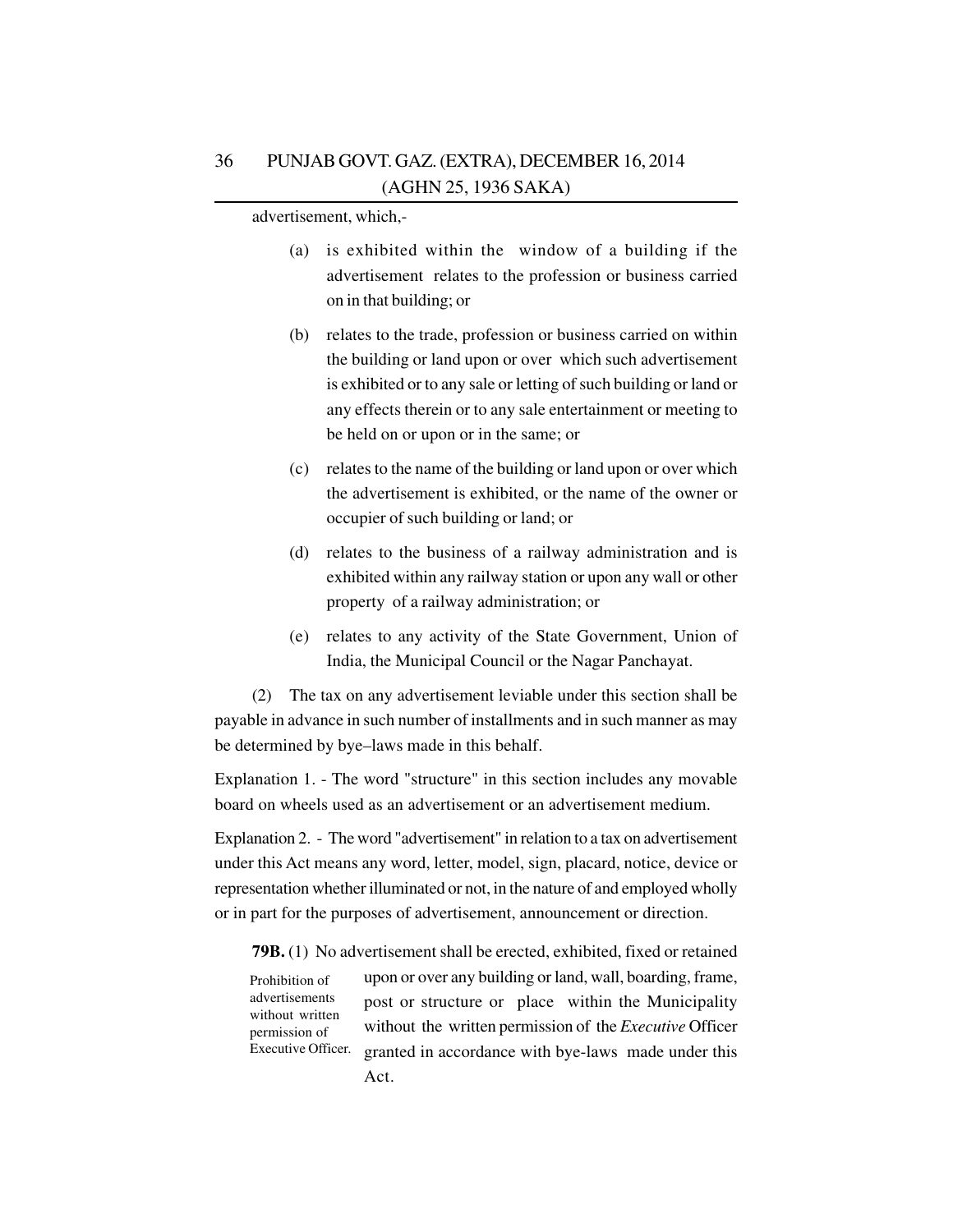advertisement, which,-

- (a) is exhibited within the window of a building if the advertisement relates to the profession or business carried on in that building; or
- (b) relates to the trade, profession or business carried on within the building or land upon or over which such advertisement is exhibited or to any sale or letting of such building or land or any effects therein or to any sale entertainment or meeting to be held on or upon or in the same; or
- (c) relates to the name of the building or land upon or over which the advertisement is exhibited, or the name of the owner or occupier of such building or land; or
- (d) relates to the business of a railway administration and is exhibited within any railway station or upon any wall or other property of a railway administration; or
- (e) relates to any activity of the State Government, Union of India, the Municipal Council or the Nagar Panchayat.

(2) The tax on any advertisement leviable under this section shall be payable in advance in such number of installments and in such manner as may be determined by bye–laws made in this behalf.

Explanation 1. - The word "structure" in this section includes any movable board on wheels used as an advertisement or an advertisement medium.

Explanation 2. - The word "advertisement" in relation to a tax on advertisement under this Act means any word, letter, model, sign, placard, notice, device or representation whether illuminated or not, in the nature of and employed wholly or in part for the purposes of advertisement, announcement or direction.

**79B.** (1) No advertisement shall be erected, exhibited, fixed or retained upon or over any building or land, wall, boarding, frame, post or structure or place within the Municipality without the written permission of the *Executive* Officer granted in accordance with bye-laws made under this Act. Prohibition of advertisements without written permission of Executive Officer.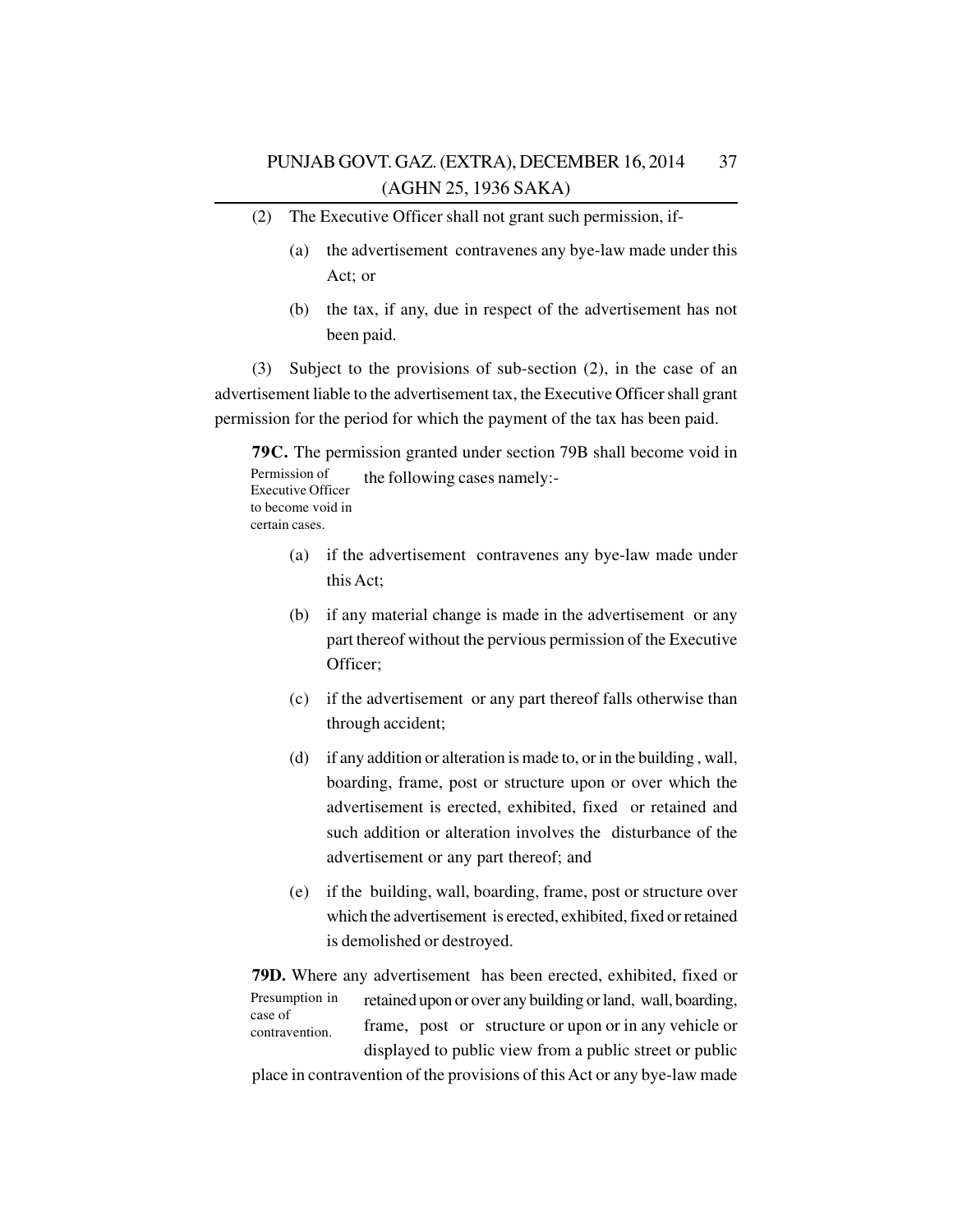- (2) The Executive Officer shall not grant such permission, if-
	- (a) the advertisement contravenes any bye-law made under this Act; or
	- (b) the tax, if any, due in respect of the advertisement has not been paid.

(3) Subject to the provisions of sub-section (2), in the case of an advertisement liable to the advertisement tax, the Executive Officer shall grant permission for the period for which the payment of the tax has been paid.

**79C.** The permission granted under section 79B shall become void in the following cases namely:- Permission of Executive Officer to become void in certain cases.

- (a) if the advertisement contravenes any bye-law made under this Act;
- (b) if any material change is made in the advertisement or any part thereof without the pervious permission of the Executive Officer;
- (c) if the advertisement or any part thereof falls otherwise than through accident;
- (d) if any addition or alteration is made to, or in the building , wall, boarding, frame, post or structure upon or over which the advertisement is erected, exhibited, fixed or retained and such addition or alteration involves the disturbance of the advertisement or any part thereof; and
- (e) if the building, wall, boarding, frame, post or structure over which the advertisement is erected, exhibited, fixed or retained is demolished or destroyed.

**79D.** Where any advertisement has been erected, exhibited, fixed or retained upon or over any building or land, wall, boarding, frame, post or structure or upon or in any vehicle or displayed to public view from a public street or public Presumption in case of contravention.

place in contravention of the provisions of this Act or any bye-law made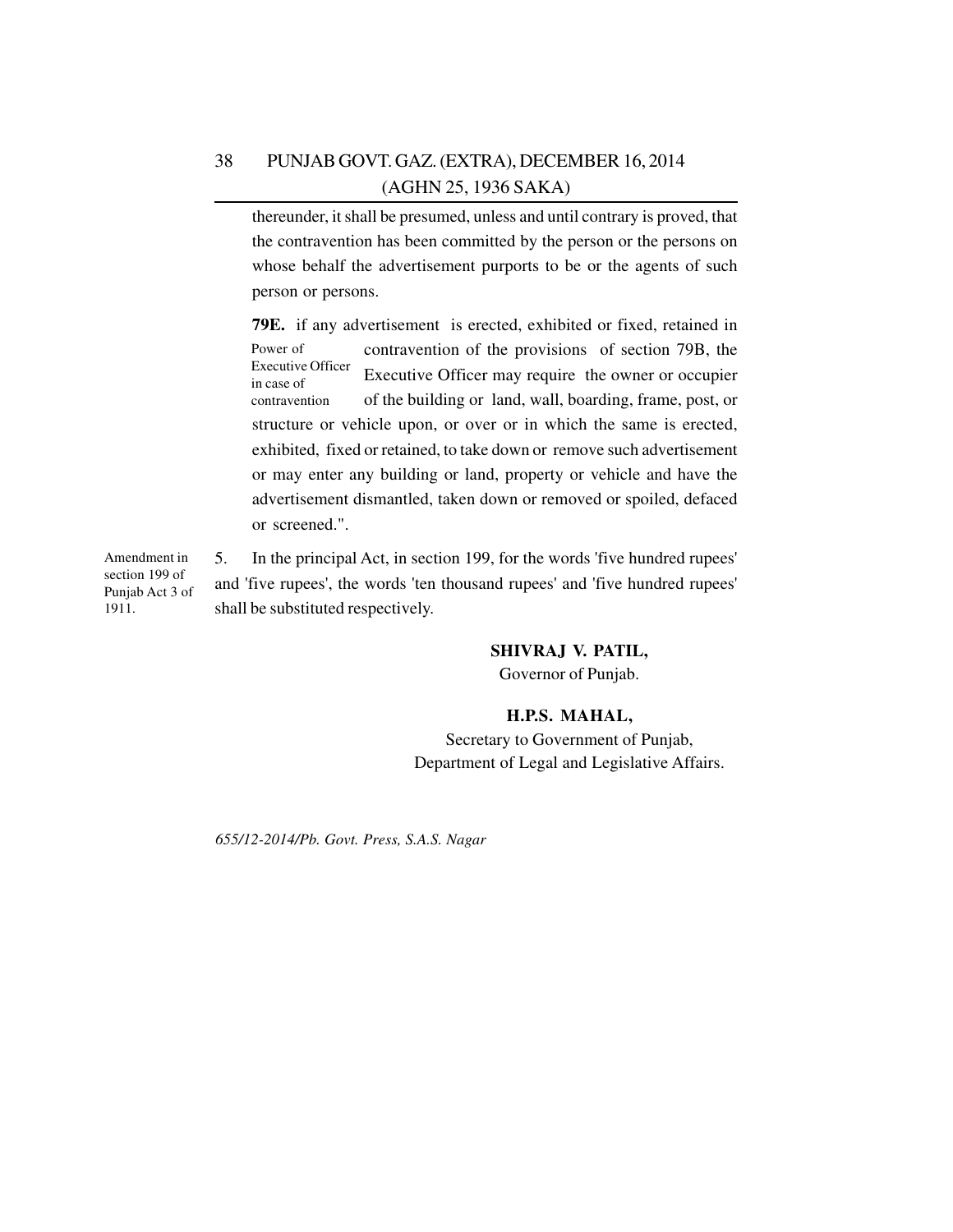thereunder, it shall be presumed, unless and until contrary is proved, that the contravention has been committed by the person or the persons on whose behalf the advertisement purports to be or the agents of such person or persons.

**79E.** if any advertisement is erected, exhibited or fixed, retained in contravention of the provisions of section 79B, the Executive Officer may require the owner or occupier of the building or land, wall, boarding, frame, post, or structure or vehicle upon, or over or in which the same is erected, exhibited, fixed or retained, to take down or remove such advertisement or may enter any building or land, property or vehicle and have the advertisement dismantled, taken down or removed or spoiled, defaced or screened.". Power of Executive Officer in case of contravention

5. In the principal Act, in section 199, for the words 'five hundred rupees' and 'five rupees', the words 'ten thousand rupees' and 'five hundred rupees' shall be substituted respectively. Amendment in section 199 of Punjab Act 3 of 1911.

## **SHIVRAJ V. PATIL,**

Governor of Punjab.

## **H.P.S. MAHAL,**

Secretary to Government of Punjab, Department of Legal and Legislative Affairs.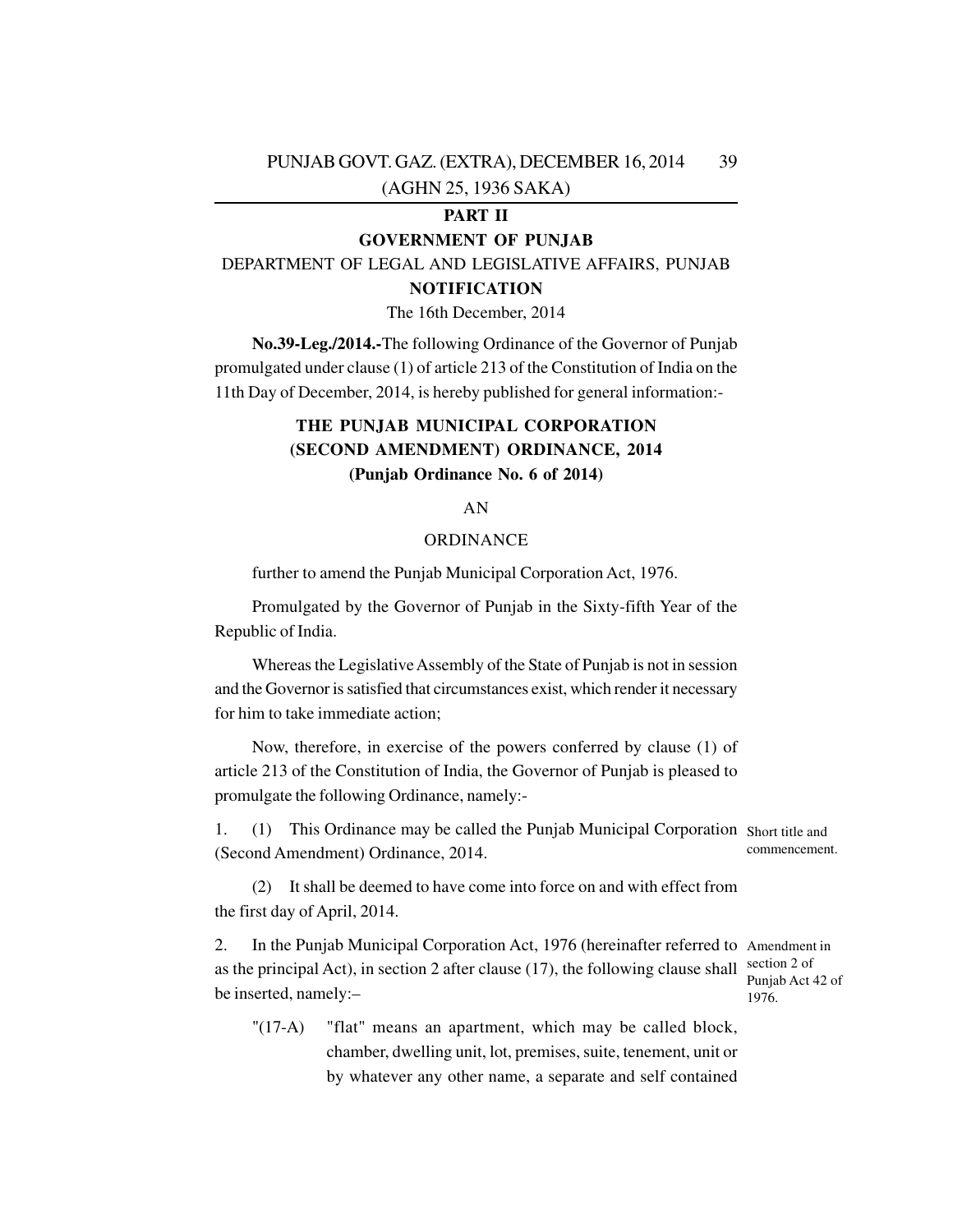## **PART II**

## **GOVERNMENT OF PUNJAB**

DEPARTMENT OF LEGAL AND LEGISLATIVE AFFAIRS, PUNJAB **NOTIFICATION**

The 16th December, 2014

**No.39-Leg./2014.-**The following Ordinance of the Governor of Punjab promulgated under clause (1) of article 213 of the Constitution of India on the 11th Day of December, 2014, is hereby published for general information:-

## **THE PUNJAB MUNICIPAL CORPORATION (SECOND AMENDMENT) ORDINANCE, 2014 (Punjab Ordinance No. 6 of 2014)**

## AN

### ORDINANCE

further to amend the Punjab Municipal Corporation Act, 1976.

Promulgated by the Governor of Punjab in the Sixty-fifth Year of the Republic of India.

Whereas the Legislative Assembly of the State of Punjab is not in session and the Governor is satisfied that circumstances exist, which render it necessary for him to take immediate action;

Now, therefore, in exercise of the powers conferred by clause (1) of article 213 of the Constitution of India, the Governor of Punjab is pleased to promulgate the following Ordinance, namely:-

1. (1) This Ordinance may be called the Punjab Municipal Corporation Short title and (Second Amendment) Ordinance, 2014. commencement.

(2) It shall be deemed to have come into force on and with effect from the first day of April, 2014.

2. In the Punjab Municipal Corporation Act, 1976 (hereinafter referred to Amendment in as the principal Act), in section 2 after clause (17), the following clause shall  $\frac{\text{section 2 of}}{\text{P}}$ be inserted, namely:– Punjab Act 42 of 1976.

"(17-A) "flat" means an apartment, which may be called block, chamber, dwelling unit, lot, premises, suite, tenement, unit or by whatever any other name, a separate and self contained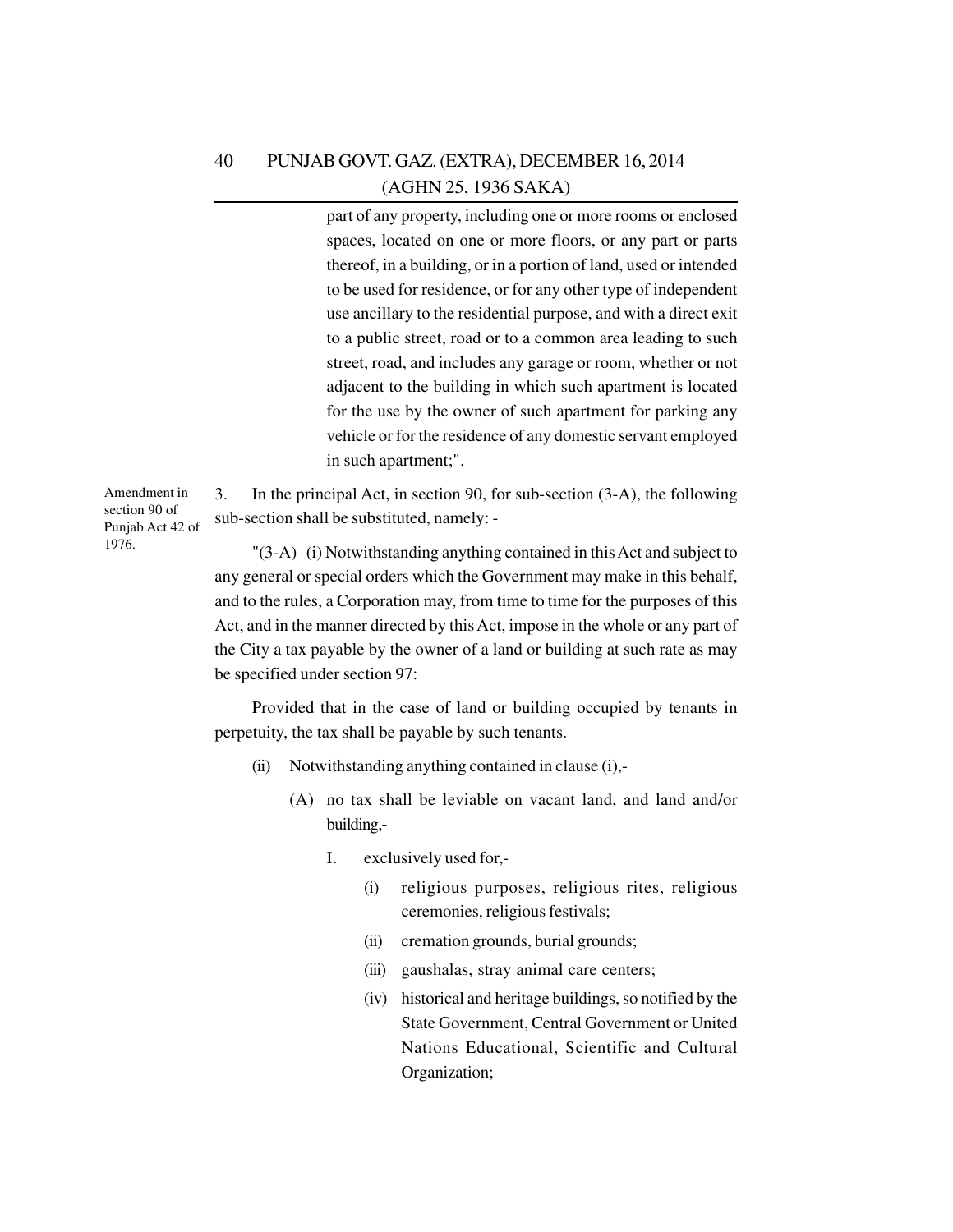part of any property, including one or more rooms or enclosed spaces, located on one or more floors, or any part or parts thereof, in a building, or in a portion of land, used or intended to be used for residence, or for any other type of independent use ancillary to the residential purpose, and with a direct exit to a public street, road or to a common area leading to such street, road, and includes any garage or room, whether or not adjacent to the building in which such apartment is located for the use by the owner of such apartment for parking any vehicle or for the residence of any domestic servant employed in such apartment;".

Amendment in section 90 of Punjab Act 42 of 1976.

3. In the principal Act, in section 90, for sub-section (3-A), the following sub-section shall be substituted, namely: -

"(3-A) (i) Notwithstanding anything contained in this Act and subject to any general or special orders which the Government may make in this behalf, and to the rules, a Corporation may, from time to time for the purposes of this Act, and in the manner directed by this Act, impose in the whole or any part of the City a tax payable by the owner of a land or building at such rate as may be specified under section 97:

Provided that in the case of land or building occupied by tenants in perpetuity, the tax shall be payable by such tenants.

- (ii) Notwithstanding anything contained in clause (i),-
	- (A) no tax shall be leviable on vacant land, and land and/or building,-
		- I. exclusively used for,-
			- (i) religious purposes, religious rites, religious ceremonies, religious festivals;
			- (ii) cremation grounds, burial grounds;
			- (iii) gaushalas, stray animal care centers;
			- (iv) historical and heritage buildings, so notified by the State Government, Central Government or United Nations Educational, Scientific and Cultural Organization;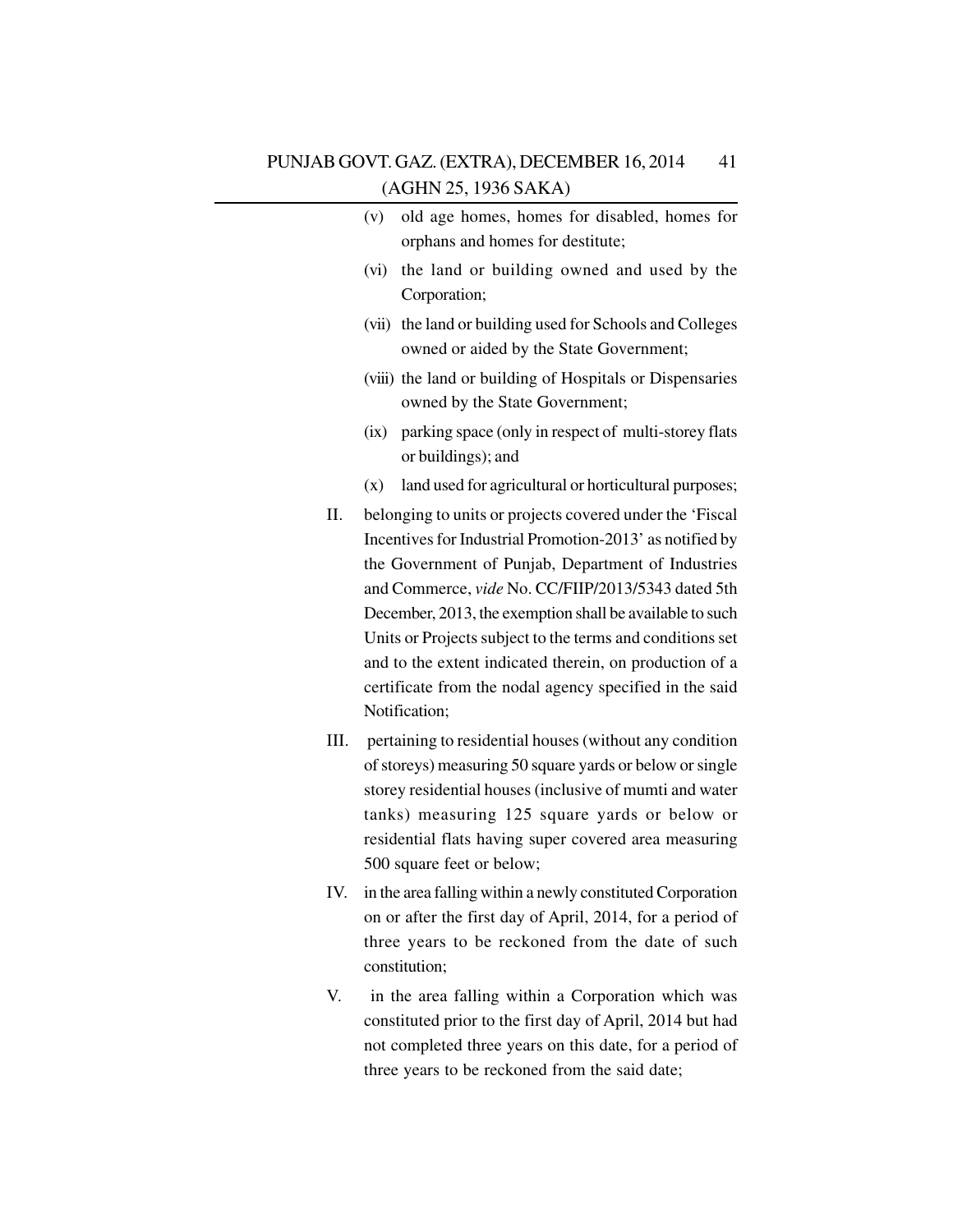| PUNJAB GOVT. GAZ. (EXTRA), DECEMBER 16, 2014 | 41 |
|----------------------------------------------|----|
| (AGHN 25, 1936 SAKA)                         |    |

|     | old age homes, homes for disabled, homes for<br>(v)                                                                                                                        |
|-----|----------------------------------------------------------------------------------------------------------------------------------------------------------------------------|
|     | orphans and homes for destitute;                                                                                                                                           |
|     | the land or building owned and used by the<br>(vi)<br>Corporation;                                                                                                         |
|     | (vii) the land or building used for Schools and Colleges<br>owned or aided by the State Government;                                                                        |
|     | (viii) the land or building of Hospitals or Dispensaries<br>owned by the State Government;                                                                                 |
|     | parking space (only in respect of multi-storey flats<br>(ix)<br>or buildings); and                                                                                         |
|     | land used for agricultural or horticultural purposes;<br>(x)                                                                                                               |
| П.  | belonging to units or projects covered under the 'Fiscal<br>Incentives for Industrial Promotion-2013' as notified by<br>the Government of Punjab, Department of Industries |
|     | and Commerce, vide No. CC/FIIP/2013/5343 dated 5th<br>December, 2013, the exemption shall be available to such                                                             |
|     | Units or Projects subject to the terms and conditions set                                                                                                                  |
|     | and to the extent indicated therein, on production of a                                                                                                                    |
|     | certificate from the nodal agency specified in the said<br>Notification;                                                                                                   |
| Ш.  | pertaining to residential houses (without any condition                                                                                                                    |
|     | of storeys) measuring 50 square yards or below or single                                                                                                                   |
|     | storey residential houses (inclusive of mumti and water                                                                                                                    |
|     | tanks) measuring 125 square yards or below or                                                                                                                              |
|     | residential flats having super covered area measuring<br>500 square feet or below;                                                                                         |
| IV. | in the area falling within a newly constituted Corporation                                                                                                                 |
|     | on or after the first day of April, 2014, for a period of                                                                                                                  |
|     | three years to be reckoned from the date of such<br>constitution;                                                                                                          |
| V.  | in the area falling within a Corporation which was                                                                                                                         |
|     | constituted prior to the first day of April, 2014 but had                                                                                                                  |
|     | not completed three years on this date, for a period of                                                                                                                    |
|     | three years to be reckoned from the said date;                                                                                                                             |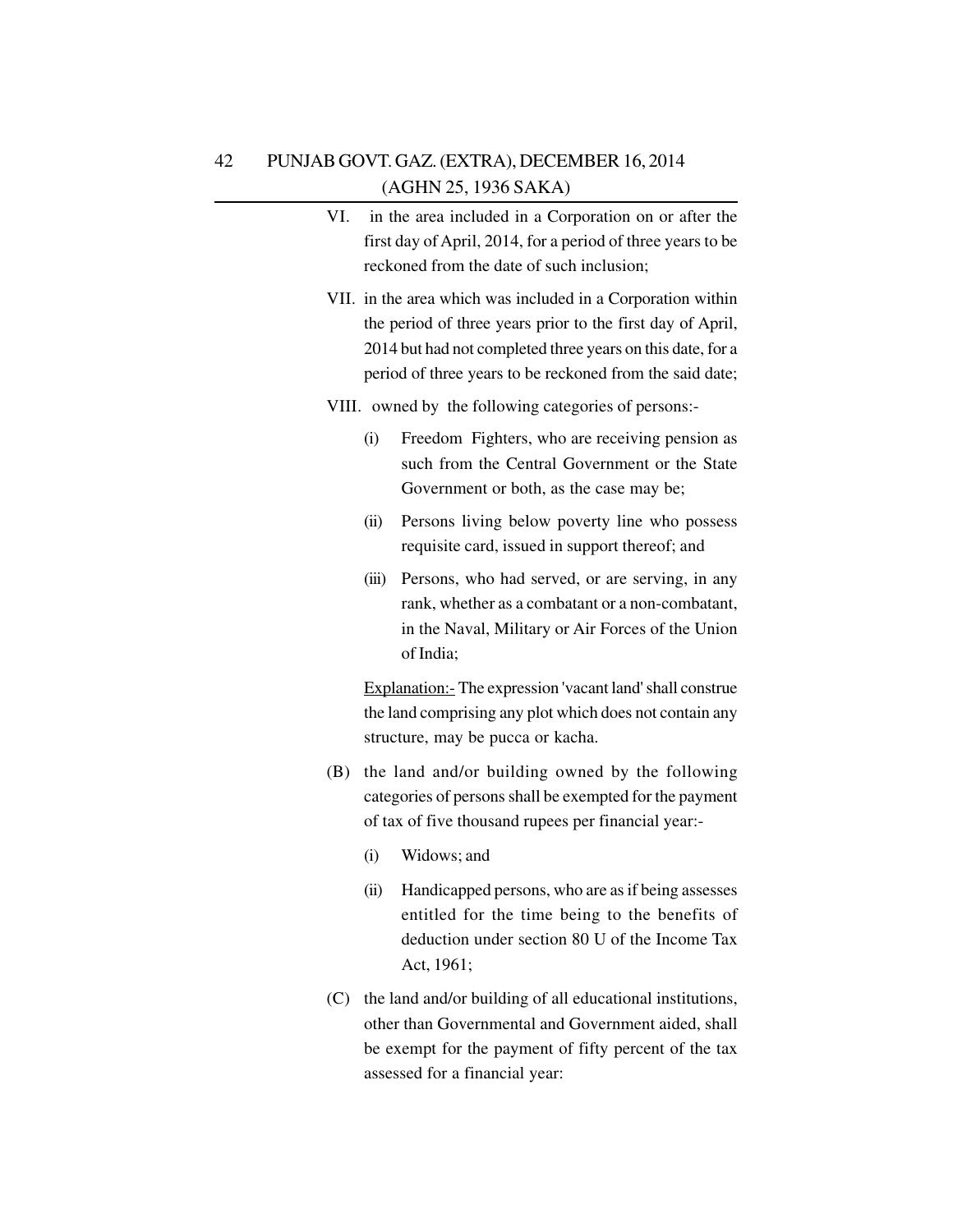- VI. in the area included in a Corporation on or after the first day of April, 2014, for a period of three years to be reckoned from the date of such inclusion;
- VII. in the area which was included in a Corporation within the period of three years prior to the first day of April, 2014 but had not completed three years on this date, for a period of three years to be reckoned from the said date;
- VIII. owned by the following categories of persons:-
	- (i) Freedom Fighters, who are receiving pension as such from the Central Government or the State Government or both, as the case may be;
	- (ii) Persons living below poverty line who possess requisite card, issued in support thereof; and
	- (iii) Persons, who had served, or are serving, in any rank, whether as a combatant or a non-combatant, in the Naval, Military or Air Forces of the Union of India;

Explanation:- The expression 'vacant land' shall construe the land comprising any plot which does not contain any structure, may be pucca or kacha.

- (B) the land and/or building owned by the following categories of persons shall be exempted for the payment of tax of five thousand rupees per financial year:-
	- (i) Widows; and
	- (ii) Handicapped persons, who are as if being assesses entitled for the time being to the benefits of deduction under section 80 U of the Income Tax Act, 1961;
- (C) the land and/or building of all educational institutions, other than Governmental and Government aided, shall be exempt for the payment of fifty percent of the tax assessed for a financial year: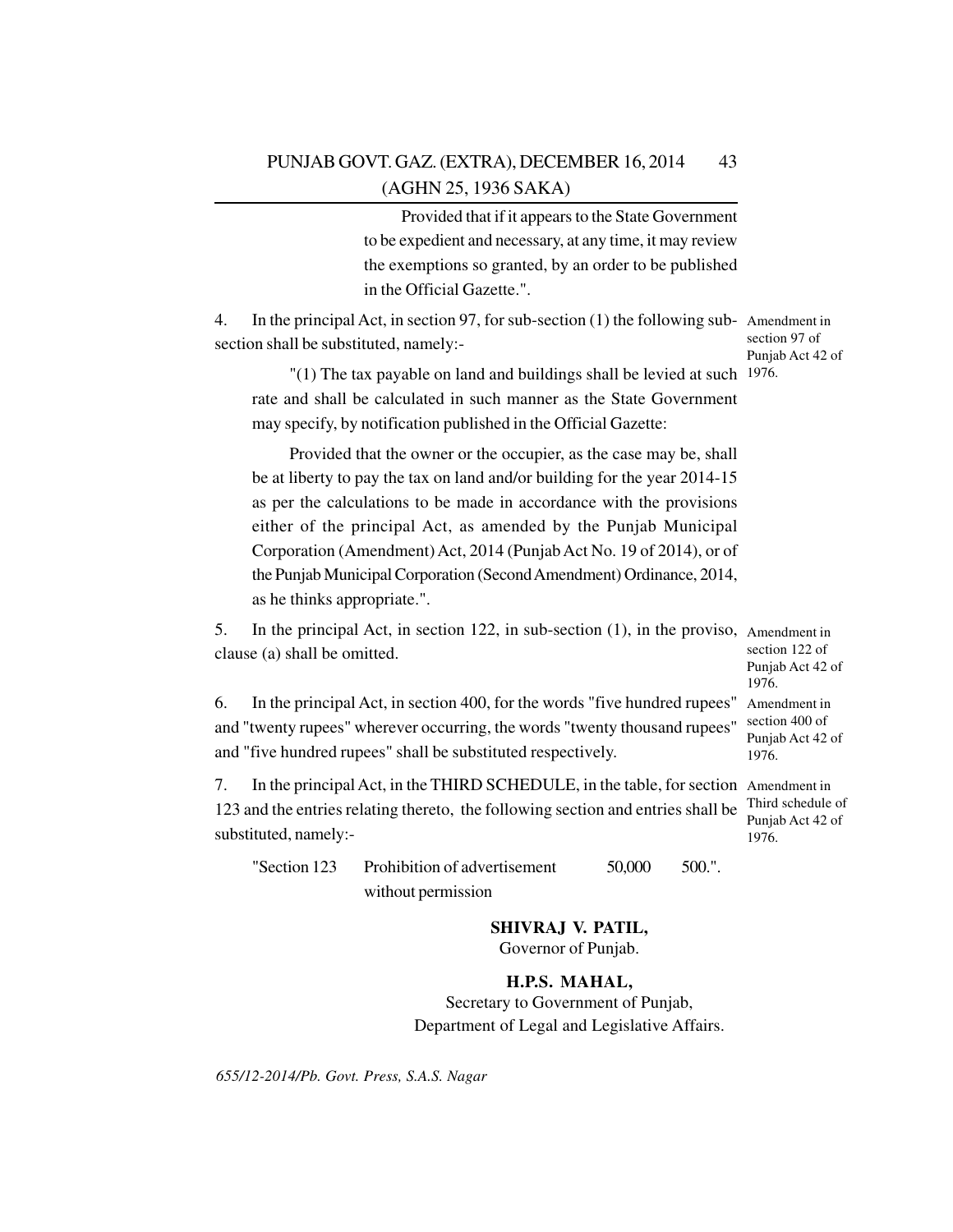Provided that if it appears to the State Government to be expedient and necessary, at any time, it may review the exemptions so granted, by an order to be published in the Official Gazette.".

4. In the principal Act, in section 97, for sub-section (1) the following sub-Amendment in section shall be substituted, namely:-

section 97 of Punjab Act 42 of

"(1) The tax payable on land and buildings shall be levied at such <sup>1976.</sup> rate and shall be calculated in such manner as the State Government may specify, by notification published in the Official Gazette:

Provided that the owner or the occupier, as the case may be, shall be at liberty to pay the tax on land and/or building for the year 2014-15 as per the calculations to be made in accordance with the provisions either of the principal Act, as amended by the Punjab Municipal Corporation (Amendment) Act, 2014 (Punjab Act No. 19 of 2014), or of the Punjab Municipal Corporation (Second Amendment) Ordinance, 2014, as he thinks appropriate.".

5. In the principal Act, in section 122, in sub-section (1), in the proviso, Amendment in clause (a) shall be omitted. section 122 of

Punjab Act 42 of 1976.

6. In the principal Act, in section 400, for the words "five hundred rupees" Amendment in and "twenty rupees" wherever occurring, the words "twenty thousand rupees" and "five hundred rupees" shall be substituted respectively. section 400 of Punjab Act 42 of 1976.

7. In the principal Act, in the THIRD SCHEDULE, in the table, for section Amendment in 123 and the entries relating thereto, the following section and entries shall be substituted, namely:- Third schedule of Punjab Act 42 of 1976.

"Section 123 Prohibition of advertisement 50,000 500.". without permission

**SHIVRAJ V. PATIL,**

Governor of Punjab.

**H.P.S. MAHAL,** Secretary to Government of Punjab,

Department of Legal and Legislative Affairs.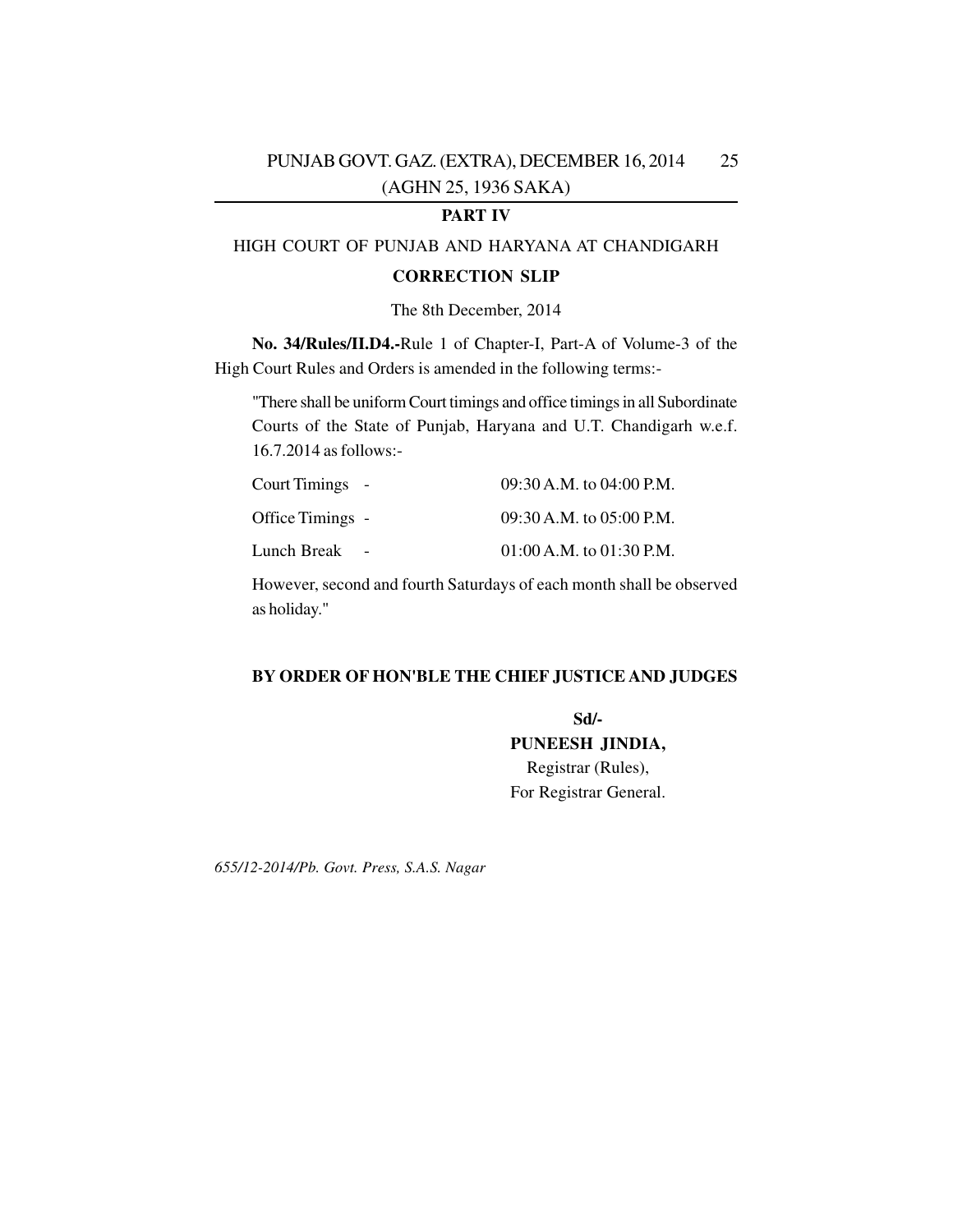## **PART IV**

## HIGH COURT OF PUNJAB AND HARYANA AT CHANDIGARH

#### **CORRECTION SLIP**

## The 8th December, 2014

**No. 34/Rules/II.D4.-**Rule 1 of Chapter-I, Part-A of Volume-3 of the High Court Rules and Orders is amended in the following terms:-

"There shall be uniform Court timings and office timings in all Subordinate Courts of the State of Punjab, Haryana and U.T. Chandigarh w.e.f. 16.7.2014 as follows:-

| Court Timings -  | 09:30 A.M. to 04:00 P.M.     |
|------------------|------------------------------|
| Office Timings - | $09:30$ A.M. to $05:00$ P.M. |
| Lunch Break      | $01:00$ A.M. to $01:30$ P.M. |

However, second and fourth Saturdays of each month shall be observed as holiday."

## **BY ORDER OF HON'BLE THE CHIEF JUSTICE AND JUDGES**

**Sd/- PUNEESH JINDIA,** Registrar (Rules), For Registrar General.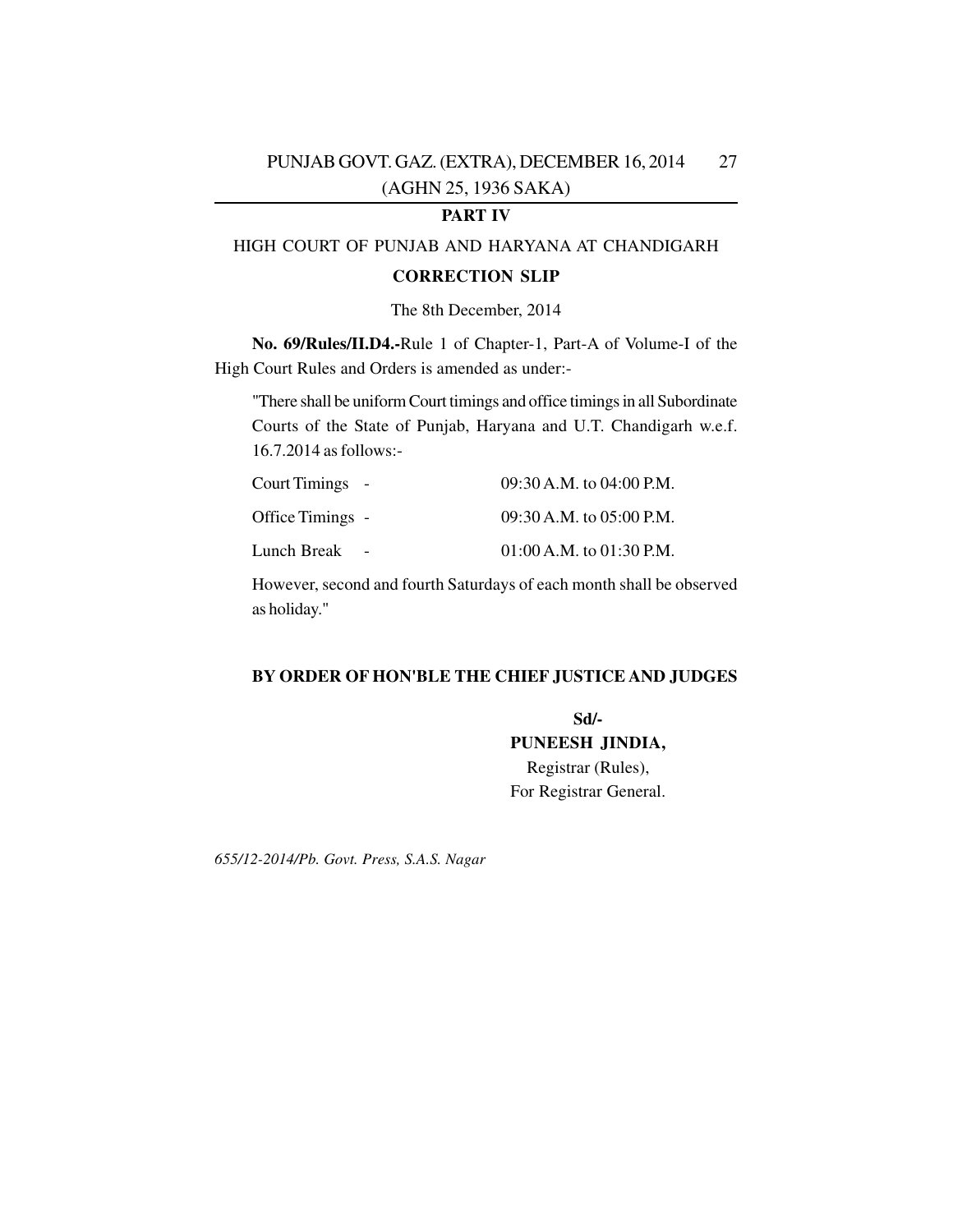## **PART IV**

## HIGH COURT OF PUNJAB AND HARYANA AT CHANDIGARH

#### **CORRECTION SLIP**

## The 8th December, 2014

**No. 69/Rules/II.D4.-**Rule 1 of Chapter-1, Part-A of Volume-I of the High Court Rules and Orders is amended as under:-

"There shall be uniform Court timings and office timings in all Subordinate Courts of the State of Punjab, Haryana and U.T. Chandigarh w.e.f. 16.7.2014 as follows:-

| Court Timings -  | $09:30$ A.M. to $04:00$ P.M. |
|------------------|------------------------------|
| Office Timings - | $09:30$ A.M. to $05:00$ P.M. |
| Lunch Break      | $01:00$ A.M. to $01:30$ P.M. |

However, second and fourth Saturdays of each month shall be observed as holiday."

## **BY ORDER OF HON'BLE THE CHIEF JUSTICE AND JUDGES**

**Sd/- PUNEESH JINDIA,** Registrar (Rules), For Registrar General.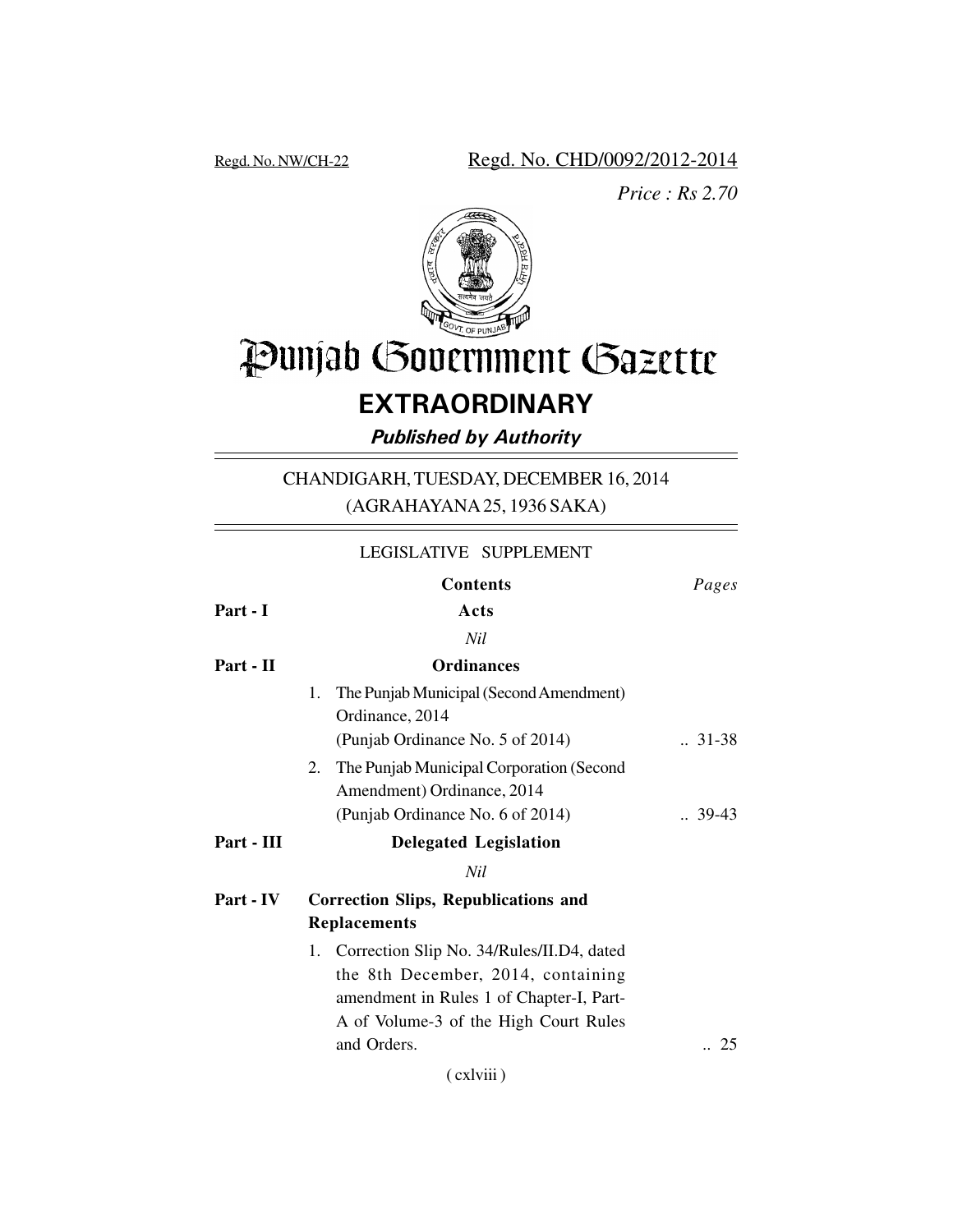Regd. No. NW/CH-22 Regd. No. CHD/0092/2012-2014

*Price : Rs 2.70*



# Punjab Government Gazette

## **EXTRAORDINARY**

*Published by Authority*

CHANDIGARH, TUESDAY, DECEMBER 16, 2014 (AGRAHAYANA 25, 1936 SAKA)

|            | LEGISLATIVE SUPPLEMENT                                                                                                                                                     |                    |
|------------|----------------------------------------------------------------------------------------------------------------------------------------------------------------------------|--------------------|
|            | <b>Contents</b>                                                                                                                                                            | Pages              |
| Part - I   | Acts                                                                                                                                                                       |                    |
|            | Nil                                                                                                                                                                        |                    |
| Part - II  | <b>Ordinances</b>                                                                                                                                                          |                    |
|            | The Punjab Municipal (Second Amendment)<br>1.<br>Ordinance, 2014                                                                                                           |                    |
|            | (Punjab Ordinance No. 5 of 2014)                                                                                                                                           | $.31-38$           |
|            | The Punjab Municipal Corporation (Second<br>2.<br>Amendment) Ordinance, 2014                                                                                               |                    |
|            | (Punjab Ordinance No. 6 of 2014)                                                                                                                                           | $\therefore$ 39-43 |
| Part - III | <b>Delegated Legislation</b>                                                                                                                                               |                    |
|            | Nil                                                                                                                                                                        |                    |
| Part - IV  | <b>Correction Slips, Republications and</b>                                                                                                                                |                    |
|            | <b>Replacements</b>                                                                                                                                                        |                    |
|            | Correction Slip No. 34/Rules/II.D4, dated<br>1.<br>the 8th December, 2014, containing<br>amendment in Rules 1 of Chapter-I, Part-<br>A of Volume-3 of the High Court Rules |                    |
|            | and Orders.                                                                                                                                                                | 25                 |
|            |                                                                                                                                                                            |                    |

( cxlviii )